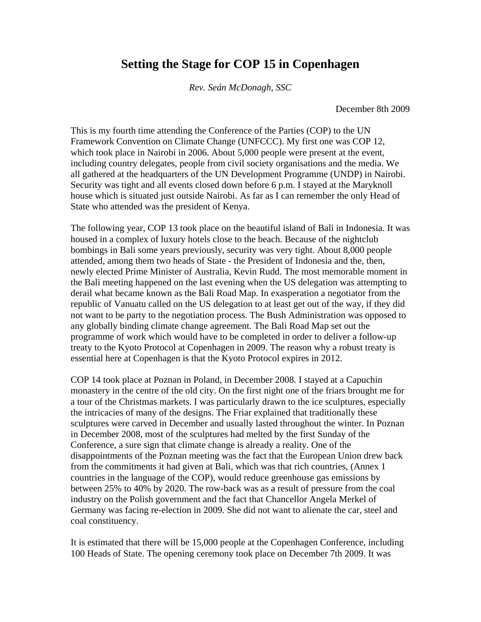## **Setting the Stage for COP 15 in Copenhagen**

*Rev. Seán McDonagh, SSC* 

December 8th 2009

This is my fourth time attending the Conference of the Parties (COP) to the UN Framework Convention on Climate Change (UNFCCC). My first one was COP 12, which took place in Nairobi in 2006. About 5,000 people were present at the event, including country delegates, people from civil society organisations and the media. We all gathered at the headquarters of the UN Development Programme (UNDP) in Nairobi. Security was tight and all events closed down before 6 p.m. I stayed at the Maryknoll house which is situated just outside Nairobi. As far as I can remember the only Head of State who attended was the president of Kenya.

The following year, COP 13 took place on the beautiful island of Bali in Indonesia. It was housed in a complex of luxury hotels close to the beach. Because of the nightclub bombings in Bali some years previously, security was very tight. About 8,000 people attended, among them two heads of State - the President of Indonesia and the, then, newly elected Prime Minister of Australia, Kevin Rudd. The most memorable moment in the Bali meeting happened on the last evening when the US delegation was attempting to derail what became known as the Bali Road Map. In exasperation a negotiator from the republic of Vanuatu called on the US delegation to at least get out of the way, if they did not want to be party to the negotiation process. The Bush Administration was opposed to any globally binding climate change agreement. The Bali Road Map set out the programme of work which would have to be completed in order to deliver a follow-up treaty to the Kyoto Protocol at Copenhagen in 2009. The reason why a robust treaty is essential here at Copenhagen is that the Kyoto Protocol expires in 2012.

COP 14 took place at Poznan in Poland, in December 2008. I stayed at a Capuchin monastery in the centre of the old city. On the first night one of the friars brought me for a tour of the Christmas markets. I was particularly drawn to the ice sculptures, especially the intricacies of many of the designs. The Friar explained that traditionally these sculptures were carved in December and usually lasted throughout the winter. In Poznan in December 2008, most of the sculptures had melted by the first Sunday of the Conference, a sure sign that climate change is already a reality. One of the disappointments of the Poznan meeting was the fact that the European Union drew back from the commitments it had given at Bali, which was that rich countries, (Annex 1 countries in the language of the COP), would reduce greenhouse gas emissions by between 25% to 40% by 2020. The row-back was as a result of pressure from the coal industry on the Polish government and the fact that Chancellor Angela Merkel of Germany was facing re-election in 2009. She did not want to alienate the car, steel and coal constituency.

It is estimated that there will be 15,000 people at the Copenhagen Conference, including 100 Heads of State. The opening ceremony took place on December 7th 2009. It was